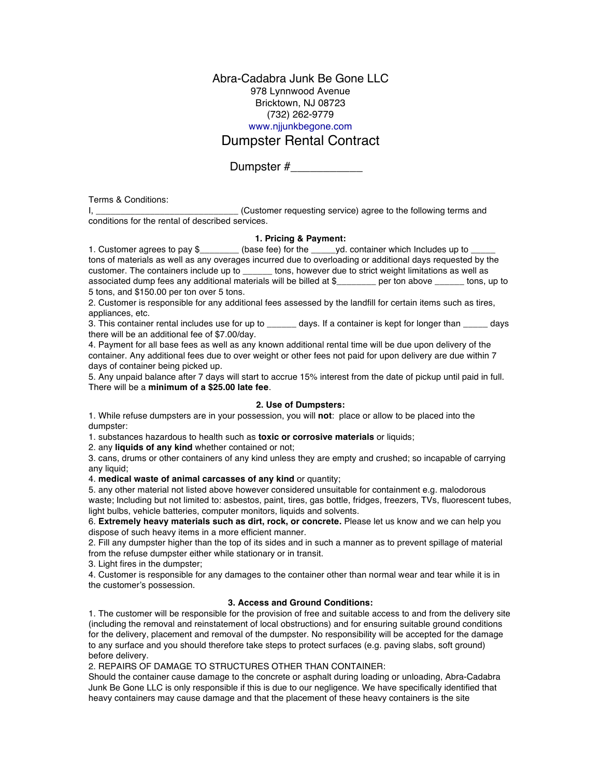Abra-Cadabra Junk Be Gone LLC 978 Lynnwood Avenue Bricktown, NJ 08723 (732) 262-9779 www.njjunkbegone.com

# Dumpster Rental Contract

Dumpster #\_\_\_\_\_\_\_\_\_\_\_

Terms & Conditions:

I, \_\_\_\_\_\_\_\_\_\_\_\_\_\_\_\_\_\_\_\_\_\_\_\_\_\_\_\_\_ (Customer requesting service) agree to the following terms and conditions for the rental of described services.

## **1. Pricing & Payment:**

1. Customer agrees to pay \$\_\_\_\_\_\_\_\_ (base fee) for the \_\_\_\_\_yd. container which Includes up to tons of materials as well as any overages incurred due to overloading or additional days requested by the customer. The containers include up to tons, however due to strict weight limitations as well as customer. Thos containers include to strict weight limitations as well as associated dump fees any additional materials will be billed at \$\_\_\_\_\_\_\_\_ per ton above \_\_\_\_\_\_ tons, up to 5 tons, and \$150.00 per ton over 5 tons.

2. Customer is responsible for any additional fees assessed by the landfill for certain items such as tires, appliances, etc.

3. This container rental includes use for up to \_\_\_\_\_\_\_ days. If a container is kept for longer than \_\_\_\_\_\_ days there will be an additional fee of \$7.00/day.

4. Payment for all base fees as well as any known additional rental time will be due upon delivery of the container. Any additional fees due to over weight or other fees not paid for upon delivery are due within 7 days of container being picked up.

5. Any unpaid balance after 7 days will start to accrue 15% interest from the date of pickup until paid in full. There will be a **minimum of a \$25.00 late fee**.

#### **2. Use of Dumpsters:**

1. While refuse dumpsters are in your possession, you will **not**: place or allow to be placed into the dumpster:

1. substances hazardous to health such as **toxic or corrosive materials** or liquids;

2. any **liquids of any kind** whether contained or not;

3. cans, drums or other containers of any kind unless they are empty and crushed; so incapable of carrying any liquid;

4. **medical waste of animal carcasses of any kind** or quantity;

5. any other material not listed above however considered unsuitable for containment e.g. malodorous waste; Including but not limited to: asbestos, paint, tires, gas bottle, fridges, freezers, TVs, fluorescent tubes, light bulbs, vehicle batteries, computer monitors, liquids and solvents.

6. **Extremely heavy materials such as dirt, rock, or concrete.** Please let us know and we can help you dispose of such heavy items in a more efficient manner.

2. Fill any dumpster higher than the top of its sides and in such a manner as to prevent spillage of material from the refuse dumpster either while stationary or in transit.

3. Light fires in the dumpster;

4. Customer is responsible for any damages to the container other than normal wear and tear while it is in the customer's possession.

# **3. Access and Ground Conditions:**

1. The customer will be responsible for the provision of free and suitable access to and from the delivery site (including the removal and reinstatement of local obstructions) and for ensuring suitable ground conditions for the delivery, placement and removal of the dumpster. No responsibility will be accepted for the damage to any surface and you should therefore take steps to protect surfaces (e.g. paving slabs, soft ground) before delivery.

2. REPAIRS OF DAMAGE TO STRUCTURES OTHER THAN CONTAINER:

Should the container cause damage to the concrete or asphalt during loading or unloading, Abra-Cadabra Junk Be Gone LLC is only responsible if this is due to our negligence. We have specifically identified that heavy containers may cause damage and that the placement of these heavy containers is the site